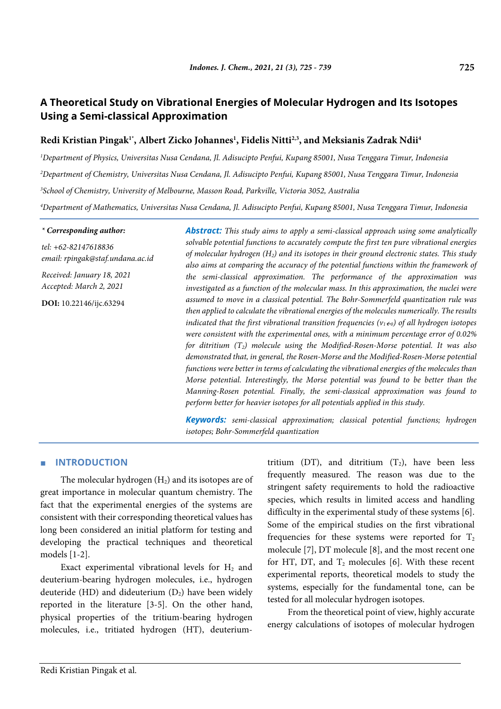# **A Theoretical Study on Vibrational Energies of Molecular Hydrogen and Its Isotopes Using a Semi-classical Approximation**

# Redi Kristian Pingak<sup>1</sup>\*, Albert Zicko Johannes<sup>1</sup>, Fidelis Nitti<sup>2,3</sup>, and Meksianis Zadrak Ndii<sup>4</sup>

 *Department of Physics, Universitas Nusa Cendana, Jl. Adisucipto Penfui, Kupang 85001, Nusa Tenggara Timur, Indonesia Department of Chemistry, Universitas Nusa Cendana, Jl. Adisucipto Penfui, Kupang 85001, Nusa Tenggara Timur, Indonesia School of Chemistry, University of Melbourne, Masson Road, Parkville, Victoria 3052, Australia Department of Mathematics, Universitas Nusa Cendana, Jl. Adisucipto Penfui, Kupang 85001, Nusa Tenggara Timur, Indonesia*

*\* Corresponding author:*

*tel: +62-82147618836 email: rpingak@staf.undana.ac.id*

*Received: January 18, 2021 Accepted: March 2, 2021*

**DOI:** 10.22146/ijc.63294

*Abstract: This study aims to apply a semi-classical approach using some analytically solvable potential functions to accurately compute the first ten pure vibrational energies of molecular hydrogen (H2) and its isotopes in their ground electronic states. This study also aims at comparing the accuracy of the potential functions within the framework of the semi-classical approximation. The performance of the approximation was investigated as a function of the molecular mass. In this approximation, the nuclei were assumed to move in a classical potential. The Bohr-Sommerfeld quantization rule was then applied to calculate the vibrational energies of the molecules numerically. The results indicated that the first vibrational transition frequencies (* $v_1 \epsilon_0$ *) of all hydrogen isotopes were consistent with the experimental ones, with a minimum percentage error of 0.02% for ditritium (T2) molecule using the Modified-Rosen-Morse potential. It was also demonstrated that, in general, the Rosen-Morse and the Modified-Rosen-Morse potential functions were better in terms of calculating the vibrational energies of the molecules than Morse potential. Interestingly, the Morse potential was found to be better than the Manning-Rosen potential. Finally, the semi-classical approximation was found to perform better for heavier isotopes for all potentials applied in this study.*

*Keywords: semi-classical approximation; classical potential functions; hydrogen isotopes; Bohr-Sommerfeld quantization*

### ■ **INTRODUCTION**

The molecular hydrogen  $(H<sub>2</sub>)$  and its isotopes are of great importance in molecular quantum chemistry. The fact that the experimental energies of the systems are consistent with their corresponding theoretical values has long been considered an initial platform for testing and developing the practical techniques and theoretical models [1-2].

Exact experimental vibrational levels for  $H_2$  and deuterium-bearing hydrogen molecules, i.e., hydrogen deuteride (HD) and dideuterium  $(D_2)$  have been widely reported in the literature [3-5]. On the other hand, physical properties of the tritium-bearing hydrogen molecules, i.e., tritiated hydrogen (HT), deuteriumtritium (DT), and ditritium  $(T_2)$ , have been less frequently measured. The reason was due to the stringent safety requirements to hold the radioactive species, which results in limited access and handling difficulty in the experimental study of these systems [6]. Some of the empirical studies on the first vibrational frequencies for these systems were reported for  $T_2$ molecule [7], DT molecule [8], and the most recent one for HT, DT, and  $T_2$  molecules [6]. With these recent experimental reports, theoretical models to study the systems, especially for the fundamental tone, can be tested for all molecular hydrogen isotopes.

From the theoretical point of view, highly accurate energy calculations of isotopes of molecular hydrogen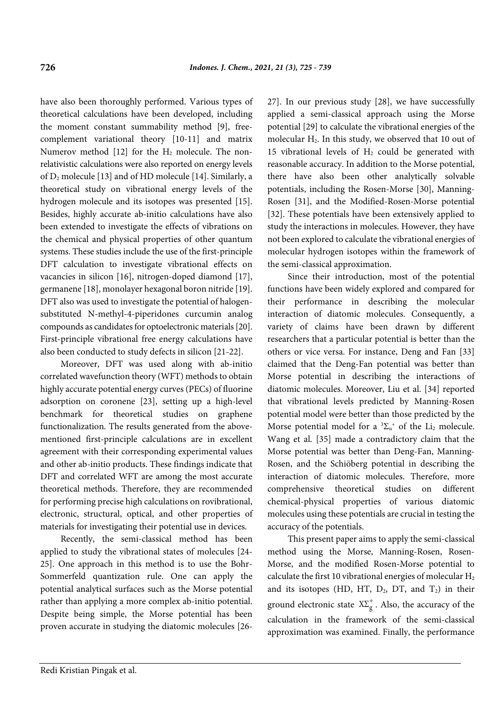have also been thoroughly performed. Various types of theoretical calculations have been developed, including the moment constant summability method [9], freecomplement variational theory [10-11] and matrix Numerov method  $[12]$  for the  $H_2$  molecule. The nonrelativistic calculations were also reported on energy levels of D2 molecule [13] and of HD molecule [14]. Similarly, a theoretical study on vibrational energy levels of the hydrogen molecule and its isotopes was presented [15]. Besides, highly accurate ab-initio calculations have also been extended to investigate the effects of vibrations on the chemical and physical properties of other quantum systems. These studies include the use of the first-principle DFT calculation to investigate vibrational effects on vacancies in silicon [16], nitrogen-doped diamond [17], germanene [18], monolayer hexagonal boron nitride [19]. DFT also was used to investigate the potential of halogensubstituted N-methyl-4-piperidones curcumin analog compounds as candidates for optoelectronic materials [20]. First-principle vibrational free energy calculations have also been conducted to study defects in silicon [21-22].

Moreover, DFT was used along with ab-initio correlated wavefunction theory (WFT) methods to obtain highly accurate potential energy curves (PECs) of fluorine adsorption on coronene [23], setting up a high-level benchmark for theoretical studies on graphene functionalization. The results generated from the abovementioned first-principle calculations are in excellent agreement with their corresponding experimental values and other ab-initio products. These findings indicate that DFT and correlated WFT are among the most accurate theoretical methods. Therefore, they are recommended for performing precise high calculations on rovibrational, electronic, structural, optical, and other properties of materials for investigating their potential use in devices.

Recently, the semi-classical method has been applied to study the vibrational states of molecules [24- 25]. One approach in this method is to use the Bohr-Sommerfeld quantization rule. One can apply the potential analytical surfaces such as the Morse potential rather than applying a more complex ab-initio potential. Despite being simple, the Morse potential has been proven accurate in studying the diatomic molecules [2627]. In our previous study [28], we have successfully applied a semi-classical approach using the Morse potential [29] to calculate the vibrational energies of the molecular  $H_2$ . In this study, we observed that 10 out of 15 vibrational levels of  $H<sub>2</sub>$  could be generated with reasonable accuracy. In addition to the Morse potential, there have also been other analytically solvable potentials, including the Rosen-Morse [30], Manning-Rosen [31], and the Modified-Rosen-Morse potential [32]. These potentials have been extensively applied to study the interactions in molecules. However, they have not been explored to calculate the vibrational energies of molecular hydrogen isotopes within the framework of the semi-classical approximation.

Since their introduction, most of the potential functions have been widely explored and compared for their performance in describing the molecular interaction of diatomic molecules. Consequently, a variety of claims have been drawn by different researchers that a particular potential is better than the others or vice versa. For instance, Deng and Fan [33] claimed that the Deng-Fan potential was better than Morse potential in describing the interactions of diatomic molecules. Moreover, Liu et al. [34] reported that vibrational levels predicted by Manning-Rosen potential model were better than those predicted by the Morse potential model for a  ${}^{3}\Sigma_{u}^{+}$  of the Li<sub>2</sub> molecule. Wang et al. [35] made a contradictory claim that the Morse potential was better than Deng-Fan, Manning-Rosen, and the Schiöberg potential in describing the interaction of diatomic molecules. Therefore, more comprehensive theoretical studies on different chemical-physical properties of various diatomic molecules using these potentials are crucial in testing the accuracy of the potentials.

This present paper aims to apply the semi-classical method using the Morse, Manning-Rosen, Rosen-Morse, and the modified Rosen-Morse potential to calculate the first 10 vibrational energies of molecular  $H_2$ and its isotopes (HD, HT,  $D_2$ , DT, and  $T_2$ ) in their ground electronic state  $X\Sigma_g^+$ . Also, the accuracy of the calculation in the framework of the semi-classical approximation was examined. Finally, the performance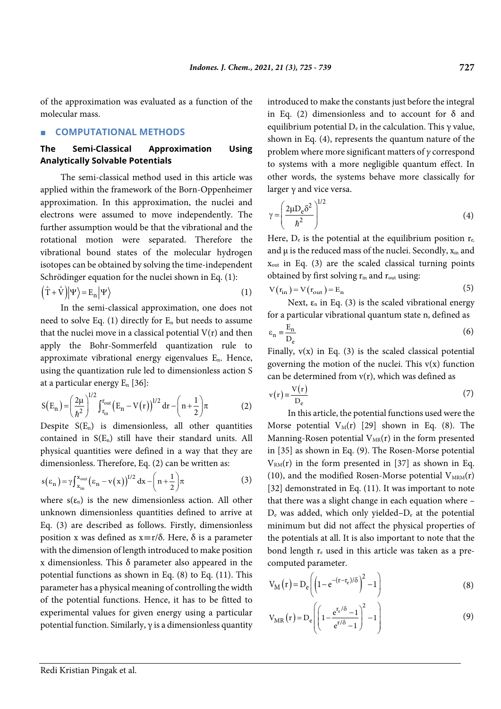of the approximation was evaluated as a function of the molecular mass.

#### ■ **COMPUTATIONAL METHODS**

#### **The Semi-Classical Approximation Using Analytically Solvable Potentials**

The semi-classical method used in this article was applied within the framework of the Born-Oppenheimer approximation. In this approximation, the nuclei and electrons were assumed to move independently. The further assumption would be that the vibrational and the rotational motion were separated. Therefore the vibrational bound states of the molecular hydrogen isotopes can be obtained by solving the time-independent Schrödinger equation for the nuclei shown in Eq. (1):

$$
(\hat{T} + \hat{V})|\Psi\rangle = E_n|\Psi\rangle
$$
 (1)

In the semi-classical approximation, one does not need to solve Eq. (1) directly for  $E_n$  but needs to assume that the nuclei move in a classical potential  $V(r)$  and then apply the Bohr-Sommerfeld quantization rule to approximate vibrational energy eigenvalues En. Hence, using the quantization rule led to dimensionless action S at a particular energy  $E_n$  [36]:

$$
S(E_n) = \left(\frac{2\mu}{\hbar^2}\right)^{1/2} \int_{r_{\rm in}}^{r_{\rm out}} \left(E_n - V(r)\right)^{1/2} dr - \left(n + \frac{1}{2}\right) \pi
$$
 (2)

Despite  $S(E_n)$  is dimensionless, all other quantities contained in  $S(E_n)$  still have their standard units. All physical quantities were defined in a way that they are dimensionless. Therefore, Eq. (2) can be written as:

$$
s(\varepsilon_n) = \gamma \int_{x_{\text{in}}}^{x_{\text{out}}} (\varepsilon_n - v(x))^{1/2} dx - \left(n + \frac{1}{2}\right) \pi
$$
 (3)

where  $s(\epsilon_n)$  is the new dimensionless action. All other unknown dimensionless quantities defined to arrive at Eq. (3) are described as follows. Firstly, dimensionless position x was defined as  $x \equiv r/\delta$ . Here,  $\delta$  is a parameter with the dimension of length introduced to make position x dimensionless. This  $\delta$  parameter also appeared in the potential functions as shown in Eq. (8) to Eq. (11). This parameter has a physical meaning of controlling the width of the potential functions. Hence, it has to be fitted to experimental values for given energy using a particular potential function. Similarly,  $\gamma$  is a dimensionless quantity introduced to make the constants just before the integral in Eq. (2) dimensionless and to account for  $\delta$  and equilibrium potential  $D_e$  in the calculation. This  $\gamma$  value, shown in Eq. (4), represents the quantum nature of the problem where more significant matters of *γ* correspond to systems with a more negligible quantum effect. In other words, the systems behave more classically for larger γ and vice versa.

$$
\gamma = \left(\frac{2\mu D_e \delta^2}{\hbar^2}\right)^{1/2} \tag{4}
$$

Here,  $D_e$  is the potential at the equilibrium position  $r_{e}$ , and μ is the reduced mass of the nuclei. Secondly, xin and  $x_{\text{out}}$  in Eq. (3) are the scaled classical turning points obtained by first solving  $r_{in}$  and  $r_{out}$  using:

$$
V(r_{in}) = V(r_{out}) = E_n
$$
\n(5)

Next,  $\varepsilon_n$  in Eq. (3) is the scaled vibrational energy for a particular vibrational quantum state n, defined as

$$
\varepsilon_{\rm n} \equiv \frac{\mathbf{E}_{\rm n}}{\mathbf{D}_{\rm e}} \tag{6}
$$

Finally,  $v(x)$  in Eq. (3) is the scaled classical potential governing the motion of the nuclei. This  $v(x)$  function can be determined from  $v(r)$ , which was defined as

$$
v(r) = \frac{V(r)}{D_e}
$$
 (7)

In this article, the potential functions used were the Morse potential  $V_M(r)$  [29] shown in Eq. (8). The Manning-Rosen potential  $V_{MR}(r)$  in the form presented in [35] as shown in Eq. (9). The Rosen-Morse potential  $V_{RM}(r)$  in the form presented in [37] as shown in Eq. (10), and the modified Rosen-Morse potential  $V_{MRM}(r)$ [32] demonstrated in Eq. (11). It was important to note that there was a slight change in each equation where –  $D_e$  was added, which only yielded– $D_e$  at the potential minimum but did not affect the physical properties of the potentials at all. It is also important to note that the bond length  $r_e$  used in this article was taken as a precomputed parameter.

$$
V_{\rm M}(r) = D_e \left( \left( 1 - e^{-(r - r_e)/\delta} \right)^2 - 1 \right) \tag{8}
$$

$$
V_{MR}(r) = D_e \left( \left( 1 - \frac{e^{r_e/\delta} - 1}{e^{r/\delta} - 1} \right)^2 - 1 \right) \tag{9}
$$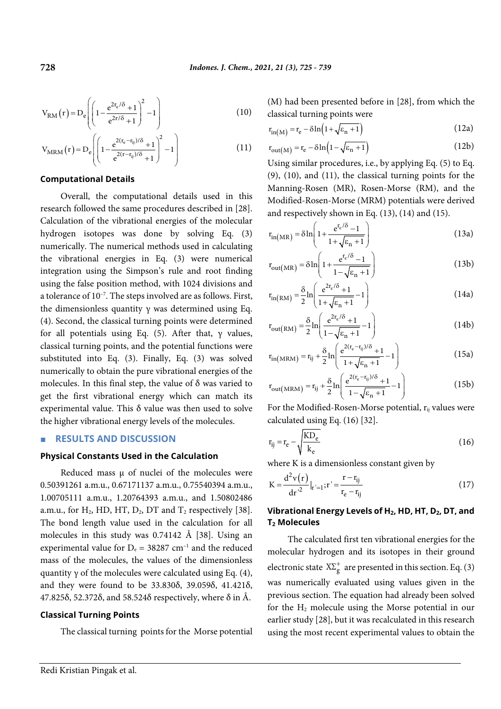$$
V_{RM}(r) = D_e \left( \left( 1 - \frac{e^{2r_e/\delta} + 1}{e^{2r/\delta} + 1} \right)^2 - 1 \right)
$$
 (10)

$$
V_{MRM}(r) = D_e \left( \left( 1 - \frac{e^{2(r_e - r_{ij})/\delta} + 1}{e^{2(r - r_{ij})/\delta} + 1} \right)^2 - 1 \right) \tag{11}
$$

#### **Computational Details**

Overall, the computational details used in this research followed the same procedures described in [28]. Calculation of the vibrational energies of the molecular hydrogen isotopes was done by solving Eq. (3) numerically. The numerical methods used in calculating the vibrational energies in Eq. (3) were numerical integration using the Simpson's rule and root finding using the false position method, with 1024 divisions and a tolerance of 10–7 . The steps involved are as follows. First, the dimensionless quantity  $\gamma$  was determined using Eq. (4). Second, the classical turning points were determined for all potentials using Eq. (5). After that, γ values, classical turning points, and the potential functions were substituted into Eq. (3). Finally, Eq. (3) was solved numerically to obtain the pure vibrational energies of the molecules. In this final step, the value of  $\delta$  was varied to get the first vibrational energy which can match its experimental value. This δ value was then used to solve the higher vibrational energy levels of the molecules.

### ■ **RESULTS AND DISCUSSION**

#### **Physical Constants Used in the Calculation**

Reduced mass  $\mu$  of nuclei of the molecules were 0.50391261 a.m.u., 0.67171137 a.m.u., 0.75540394 a.m.u., 1.00705111 a.m.u., 1.20764393 a.m.u., and 1.50802486 a.m.u., for  $H_2$ , HD, HT,  $D_2$ , DT and  $T_2$  respectively [38]. The bond length value used in the calculation for all molecules in this study was 0.74142 Å [38]. Using an experimental value for  $D_e = 38287$  cm<sup>-1</sup> and the reduced mass of the molecules, the values of the dimensionless quantity  $\gamma$  of the molecules were calculated using Eq. (4), and they were found to be 33.830δ, 39.059δ, 41.421δ, 47.825δ, 52.372δ, and 58.524δ respectively, where δ in Å.

#### **Classical Turning Points**

The classical turning points for the Morse potential

(M) had been presented before in [28], from which the classical turning points were

$$
r_{in(M)} = r_e - \delta ln(1 + \sqrt{\epsilon_n + 1})
$$
\n(12a)

$$
r_{\text{out}(M)} = r_{\text{e}} - \delta \ln \left( 1 - \sqrt{\varepsilon_{n} + 1} \right) \tag{12b}
$$

Using similar procedures, i.e., by applying Eq. (5) to Eq. (9), (10), and (11), the classical turning points for the Manning-Rosen (MR), Rosen-Morse (RM), and the Modified-Rosen-Morse (MRM) potentials were derived and respectively shown in Eq. (13), (14) and (15).

$$
r_{\rm in(MR)} = \delta \ln \left( 1 + \frac{e^{r_e/\delta} - 1}{1 + \sqrt{\epsilon_n + 1}} \right)
$$
 (13a)

$$
r_{\text{out(MR)}} = \delta \ln \left( 1 + \frac{e^{r_e/\delta} - 1}{1 - \sqrt{\epsilon_n + 1}} \right) \tag{13b}
$$

$$
\mathbf{r}_{\text{in(RM)}} = \frac{\delta}{2} \ln \left( \frac{e^{2\mathbf{r}_e/\delta} + 1}{1 + \sqrt{\varepsilon_n + 1}} - 1 \right) \tag{14a}
$$

$$
r_{\text{out(RM)}} = \frac{\delta}{2} \ln \left( \frac{e^{2r_e/\delta} + 1}{1 - \sqrt{\epsilon_n + 1}} - 1 \right) \tag{14b}
$$

$$
r_{in(MRM)} = r_{ij} + \frac{\delta}{2} \ln \left( \frac{e^{2(r_e - r_{ij})/\delta} + 1}{1 + \sqrt{\epsilon_n + 1}} - 1 \right)
$$
 (15a)

$$
r_{\text{out}(\text{MRM})} = r_{ij} + \frac{\delta}{2} \ln \left( \frac{e^{2(r_e - r_{ij})/\delta} + 1}{1 - \sqrt{\epsilon_n + 1}} - 1 \right)
$$
(15b)

For the Modified-Rosen-Morse potential,  $r_{ii}$  values were calculated using Eq. (16) [32].

$$
r_{ij} = r_e - \sqrt{\frac{KD_e}{k_e}}
$$
 (16)

where K is a dimensionless constant given by

$$
K = \frac{d^2 v(r)}{dr^2}|_{r'=1}; r' = \frac{r - r_{ij}}{r_e - r_{ij}}
$$
(17)

### **Vibrational Energy Levels of H2, HD, HT, D2, DT, and T2 Molecules**

The calculated first ten vibrational energies for the molecular hydrogen and its isotopes in their ground electronic state  $X\Sigma_g^+$  are presented in this section. Eq. (3) was numerically evaluated using values given in the previous section. The equation had already been solved for the H2 molecule using the Morse potential in our earlier study [28], but it was recalculated in this research using the most recent experimental values to obtain the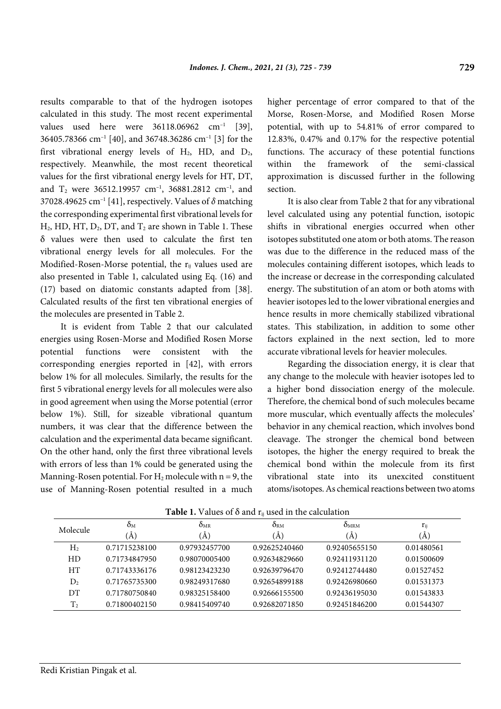results comparable to that of the hydrogen isotopes calculated in this study. The most recent experimental values used here were  $36118.06962$  cm<sup>-1</sup> [39], 36405.78366 cm–1 [40], and 36748.36286 cm–1 [3] for the first vibrational energy levels of  $H_2$ , HD, and  $D_2$ , respectively. Meanwhile, the most recent theoretical values for the first vibrational energy levels for HT, DT, and  $T_2$  were 36512.19957 cm<sup>-1</sup>, 36881.2812 cm<sup>-1</sup>, and 37028.49625 cm–1 [41], respectively. Values of *δ* matching the corresponding experimental first vibrational levels for  $H_2$ , HD, HT,  $D_2$ , DT, and  $T_2$  are shown in Table 1. These δ values were then used to calculate the first ten vibrational energy levels for all molecules. For the Modified-Rosen-Morse potential, the r<sub>ij</sub> values used are also presented in Table 1, calculated using Eq. (16) and (17) based on diatomic constants adapted from [38]. Calculated results of the first ten vibrational energies of the molecules are presented in Table 2.

It is evident from Table 2 that our calculated energies using Rosen-Morse and Modified Rosen Morse potential functions were consistent with the corresponding energies reported in [42], with errors below 1% for all molecules. Similarly, the results for the first 5 vibrational energy levels for all molecules were also in good agreement when using the Morse potential (error below 1%). Still, for sizeable vibrational quantum numbers, it was clear that the difference between the calculation and the experimental data became significant. On the other hand, only the first three vibrational levels with errors of less than 1% could be generated using the Manning-Rosen potential. For  $H_2$  molecule with n = 9, the use of Manning-Rosen potential resulted in a much higher percentage of error compared to that of the Morse, Rosen-Morse, and Modified Rosen Morse potential, with up to 54.81% of error compared to 12.83%, 0.47% and 0.17% for the respective potential functions. The accuracy of these potential functions within the framework of the semi-classical approximation is discussed further in the following section.

It is also clear from Table 2 that for any vibrational level calculated using any potential function, isotopic shifts in vibrational energies occurred when other isotopes substituted one atom or both atoms. The reason was due to the difference in the reduced mass of the molecules containing different isotopes, which leads to the increase or decrease in the corresponding calculated energy. The substitution of an atom or both atoms with heavier isotopes led to the lower vibrational energies and hence results in more chemically stabilized vibrational states. This stabilization, in addition to some other factors explained in the next section, led to more accurate vibrational levels for heavier molecules.

Regarding the dissociation energy, it is clear that any change to the molecule with heavier isotopes led to a higher bond dissociation energy of the molecule. Therefore, the chemical bond of such molecules became more muscular, which eventually affects the molecules' behavior in any chemical reaction, which involves bond cleavage. The stronger the chemical bond between isotopes, the higher the energy required to break the chemical bond within the molecule from its first vibrational state into its unexcited constituent atoms/isotopes. As chemical reactions between two atoms

| Molecule       | $O_{\rm M}$<br>(A) | $O_{MR}$<br>$\mathbf{A}$ | $\delta_{\rm RM}$<br>(A) | O <sub>MRM</sub><br>(A) | $r_{ij}$<br>$\mathbf{A}$ |
|----------------|--------------------|--------------------------|--------------------------|-------------------------|--------------------------|
| H <sub>2</sub> | 0.71715238100      | 0.97932457700            | 0.92625240460            | 0.92405655150           | 0.01480561               |
| HD             | 0.71734847950      | 0.98070005400            | 0.92634829660            | 0.92411931120           | 0.01500609               |
| <b>HT</b>      | 0.71743336176      | 0.98123423230            | 0.92639796470            | 0.92412744480           | 0.01527452               |
| $D_2$          | 0.71765735300      | 0.98249317680            | 0.92654899188            | 0.92426980660           | 0.01531373               |
| DT             | 0.71780750840      | 0.98325158400            | 0.92666155500            | 0.92436195030           | 0.01543833               |
| T <sub>2</sub> | 0.71800402150      | 0.98415409740            | 0.92682071850            | 0.92451846200           | 0.01544307               |

**Table 1.** Values of  $\delta$  and  $r_{ii}$  used in the calculation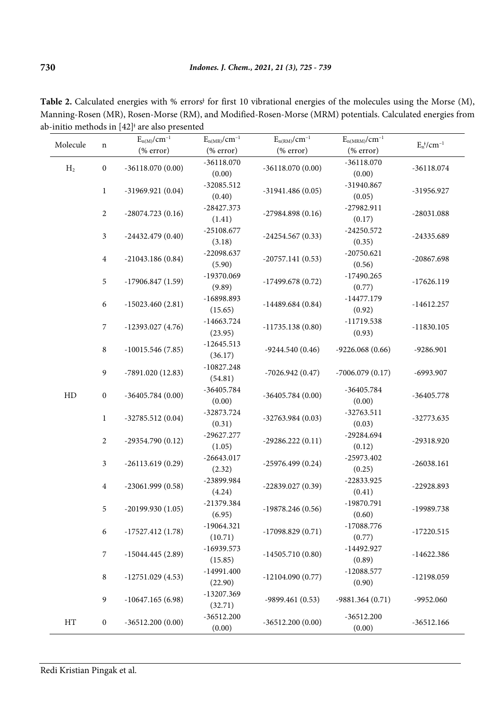| <b>Table 2.</b> Calculated energies with % errors <sup>t</sup> for first 10 vibrational energies of the molecules using the Morse $(M)$ , |
|-------------------------------------------------------------------------------------------------------------------------------------------|
| Manning-Rosen (MR), Rosen-Morse (RM), and Modified-Rosen-Morse (MRM) potentials. Calculated energies from                                 |
| ab-initio methods in $[42]$ <sup><math>\dagger</math></sup> are also presented                                                            |

| Molecule       | $\mathbf n$      | $E_{n(M)}/cm^{-1}$ | $E_{n(\mathrm{MR})}/cm^{-1}$ | $E_{n(RM)}/cm^{-1}$                      | $E_{n(MRM)}/cm^{-1}$   | $E_n^{\dagger}/cm^{-1}$ |  |
|----------------|------------------|--------------------|------------------------------|------------------------------------------|------------------------|-------------------------|--|
|                |                  | (% error)          | (% error)                    | $(% \mathcal{L}_{0}^{\infty})$ (% error) | (% error)              |                         |  |
| H <sub>2</sub> | $\boldsymbol{0}$ | $-36118.070(0.00)$ | $-36118.070$                 | $-36118.070(0.00)$                       | $-36118.070$           | $-36118.074$            |  |
|                |                  |                    | (0.00)                       |                                          | (0.00)                 |                         |  |
| $\mathbf{1}$   |                  | $-31969.921(0.04)$ | $-32085.512$                 | $-31941.486(0.05)$                       | -31940.867             | -31956.927              |  |
|                |                  |                    | (0.40)                       |                                          | (0.05)                 |                         |  |
|                | $\overline{2}$   | $-28074.723(0.16)$ | $-28427.373$                 | $-27984.898(0.16)$                       | -27982.911             | $-28031.088$            |  |
|                |                  |                    | (1.41)                       |                                          | (0.17)                 |                         |  |
|                | $\mathfrak{Z}$   | $-24432.479(0.40)$ | $-25108.677$                 | $-24254.567(0.33)$                       | $-24250.572$           | -24335.689              |  |
|                |                  |                    | (3.18)                       |                                          | (0.35)                 |                         |  |
|                | $\boldsymbol{4}$ | $-21043.186(0.84)$ | $-22098.637$                 | $-20757.141(0.53)$                       | $-20750.621$           | $-20867.698$            |  |
|                |                  |                    | (5.90)                       |                                          | (0.56)                 |                         |  |
|                | $\mathfrak s$    | $-17906.847(1.59)$ | -19370.069                   | $-17499.678(0.72)$                       | $-17490.265$           | $-17626.119$            |  |
|                |                  |                    | (9.89)                       |                                          | (0.77)                 |                         |  |
|                | $\boldsymbol{6}$ | $-15023.460(2.81)$ | -16898.893                   | $-14489.684(0.84)$                       | $-14477.179$           | $-14612.257$            |  |
|                |                  |                    | (15.65)                      |                                          | (0.92)                 |                         |  |
|                | $\boldsymbol{7}$ | $-12393.027(4.76)$ | $-14663.724$                 | $-11735.138(0.80)$                       | $-11719.538$           | $-11830.105$            |  |
|                |                  |                    | (23.95)                      |                                          | (0.93)                 |                         |  |
|                | $\, 8$           | $-10015.546(7.85)$ | $-12645.513$                 | $-9244.540(0.46)$                        | $-9226.068(0.66)$      | -9286.901               |  |
|                |                  |                    | (36.17)                      |                                          |                        |                         |  |
|                | $\boldsymbol{9}$ | $-7891.020(12.83)$ | $-10827.248$                 | $-7026.942(0.47)$                        | $-7006.079(0.17)$      | -6993.907               |  |
|                |                  |                    | (54.81)                      |                                          |                        |                         |  |
| HD             | $\boldsymbol{0}$ | $-36405.784(0.00)$ | -36405.784                   | $-36405.784(0.00)$                       | -36405.784             | $-36405.778$            |  |
|                |                  |                    | (0.00)<br>-32873.724         |                                          | (0.00)<br>$-32763.511$ |                         |  |
|                | $\mathbf{1}$     | $-32785.512(0.04)$ | (0.31)                       | $-32763.984(0.03)$                       | (0.03)                 | $-32773.635$            |  |
|                |                  |                    | $-29627.277$                 |                                          | -29284.694             |                         |  |
|                | $\overline{2}$   | $-29354.790(0.12)$ | (1.05)                       | $-29286.222(0.11)$                       | (0.12)                 | -29318.920              |  |
|                |                  |                    | $-26643.017$                 |                                          | -25973.402             | $-26038.161$            |  |
|                | $\mathfrak{Z}$   | $-26113.619(0.29)$ | (2.32)                       | $-25976.499(0.24)$                       | (0.25)                 |                         |  |
|                |                  |                    | -23899.984                   |                                          | -22833.925             |                         |  |
|                | $\overline{4}$   | $-23061.999(0.58)$ | (4.24)                       | $-22839.027(0.39)$                       | (0.41)                 | -22928.893              |  |
|                |                  |                    | -21379.384                   |                                          | -19870.791             |                         |  |
|                | 5                | -20199.930 (1.05)  | (6.95)                       | -19878.246 (0.56)                        | (0.60)                 | -19989.738              |  |
|                |                  |                    | $-19064.321$                 |                                          | $-17088.776$           |                         |  |
|                | $\boldsymbol{6}$ | $-17527.412(1.78)$ | (10.71)                      | $-17098.829(0.71)$                       | (0.77)                 | $-17220.515$            |  |
|                |                  |                    | $-16939.573$                 |                                          | -14492.927             |                         |  |
|                | $\overline{7}$   | $-15044.445(2.89)$ | (15.85)                      | $-14505.710(0.80)$                       | (0.89)                 | $-14622.386$            |  |
|                |                  |                    | $-14991.400$                 |                                          | $-12088.577$           |                         |  |
|                | $\,8\,$          | $-12751.029(4.53)$ | (22.90)                      | $-12104.090(0.77)$                       | (0.90)                 | $-12198.059$            |  |
|                |                  |                    | $-13207.369$                 |                                          |                        |                         |  |
|                | $\boldsymbol{9}$ | $-10647.165(6.98)$ | (32.71)                      | $-9899.461(0.53)$                        | $-9881.364(0.71)$      | -9952.060               |  |
|                |                  |                    |                              | $-36512.200$                             |                        | $-36512.200$            |  |
| HT             | $\boldsymbol{0}$ | $-36512.200(0.00)$ | (0.00)                       | $-36512.200(0.00)$                       | (0.00)                 | $-36512.166$            |  |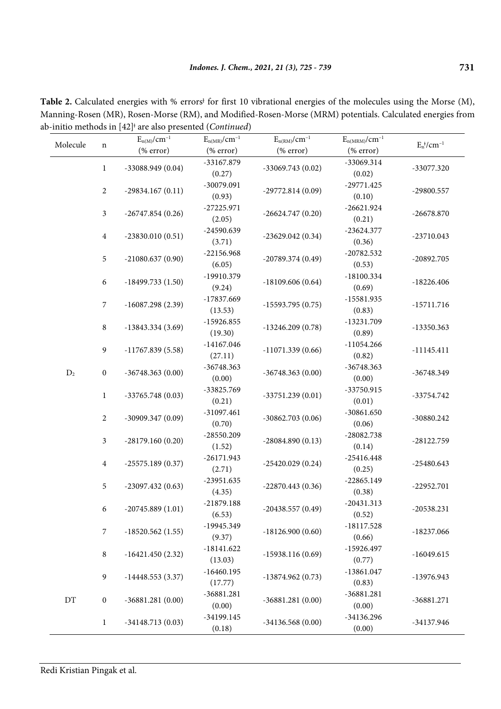|          |                  | ----- r-----<br>$E_{n(M)}/cm^{-1}$       | $E_{n(MR)}/cm^{-1}$                      | $E_{n(RM)}/cm^{-1}$                      | $E_{n(MRM)}/cm^{-1}$                     |                                      |
|----------|------------------|------------------------------------------|------------------------------------------|------------------------------------------|------------------------------------------|--------------------------------------|
| Molecule | $\mathbf n$      | $(% \mathcal{L}_{0}^{\infty})$ (% error) | $(% \mathcal{L}_{0}^{\infty})$ (% error) | $(% \mathcal{L}_{0}^{\infty})$ (% error) | $(% \mathcal{L}_{0}^{\infty})$ (% error) | $E_n$ <sup>*</sup> /cm <sup>-1</sup> |
|          | $\mathbf{1}$     | $-33088.949(0.04)$                       | -33167.879                               | $-33069.743(0.02)$                       | -33069.314                               | -33077.320                           |
|          | $\overline{c}$   | $-29834.167(0.11)$                       | (0.27)<br>-30079.091<br>(0.93)           | $-29772.814(0.09)$                       | (0.02)<br>$-29771.425$<br>(0.10)         | -29800.557                           |
|          | $\mathfrak{Z}$   | $-26747.854(0.26)$                       | $-27225.971$<br>(2.05)                   | $-26624.747(0.20)$                       | $-26621.924$<br>(0.21)                   | $-26678.870$                         |
|          | $\overline{4}$   | $-23830.010(0.51)$                       | -24590.639<br>(3.71)                     | $-23629.042(0.34)$                       | $-23624.377$<br>(0.36)                   | $-23710.043$                         |
|          | $\sqrt{5}$       | $-21080.637(0.90)$                       | $-22156.968$<br>(6.05)                   | $-20789.374(0.49)$                       | $-20782.532$<br>(0.53)                   | $-20892.705$                         |
|          | $\boldsymbol{6}$ | $-18499.733(1.50)$                       | -19910.379<br>(9.24)                     | $-18109.606(0.64)$                       | $-18100.334$<br>(0.69)                   | $-18226.406$                         |
|          | $\boldsymbol{7}$ | $-16087.298(2.39)$                       | -17837.669<br>(13.53)                    | $-15593.795(0.75)$                       | $-15581.935$<br>(0.83)                   | $-15711.716$                         |
|          | $\,8\,$          | $-13843.334(3.69)$                       | $-15926.855$<br>(19.30)                  | $-13246.209(0.78)$                       | -13231.709<br>(0.89)                     | $-13350.363$                         |
|          | $\boldsymbol{9}$ | $-11767.839(5.58)$                       | $-14167.046$<br>(27.11)                  | $-11071.339(0.66)$                       | $-11054.266$<br>(0.82)                   | $-11145.411$                         |
| $D_2$    | $\boldsymbol{0}$ | $-36748.363(0.00)$                       | -36748.363<br>(0.00)                     | $-36748.363(0.00)$                       | $-36748.363$<br>(0.00)                   | -36748.349                           |
|          | $\mathbf 1$      | $-33765.748(0.03)$                       | -33825.769<br>(0.21)                     | $-33751.239(0.01)$                       | -33750.915<br>(0.01)                     | -33754.742                           |
|          | $\overline{2}$   | $-30909.347(0.09)$                       | $-31097.461$<br>(0.70)                   | $-30862.703(0.06)$                       | $-30861.650$<br>(0.06)                   | -30880.242                           |
|          | $\mathfrak{Z}$   | $-28179.160(0.20)$                       | $-28550.209$<br>(1.52)                   | $-28084.890(0.13)$                       | $-28082.738$<br>(0.14)                   | $-28122.759$                         |
|          | $\overline{4}$   | $-25575.189(0.37)$                       | $-26171.943$<br>(2.71)                   | $-25420.029(0.24)$                       | $-25416.448$<br>(0.25)                   | $-25480.643$                         |
|          | $\sqrt{5}$       | $-23097.432(0.63)$                       | $-23951.635$<br>(4.35)                   | $-22870.443(0.36)$                       | $-22865.149$<br>(0.38)                   | $-22952.701$                         |
|          | 6                | $-20745.889(1.01)$                       | $-21879.188$<br>(6.53)                   | $-20438.557(0.49)$                       | $-20431.313$<br>(0.52)                   | $-20538.231$                         |
|          | $\sqrt{7}$       | $-18520.562(1.55)$                       | -19945.349<br>(9.37)                     | $-18126.900(0.60)$                       | $-18117.528$<br>(0.66)                   | $-18237.066$                         |
|          | $\,8\,$          | $-16421.450(2.32)$                       | $-18141.622$<br>(13.03)                  | $-15938.116(0.69)$                       | $-15926.497$<br>(0.77)                   | $-16049.615$                         |
|          | $\boldsymbol{9}$ | $-14448.553(3.37)$                       | $-16460.195$<br>(17.77)                  | $-13874.962(0.73)$                       | $-13861.047$<br>(0.83)                   | -13976.943                           |
| DT       | $\boldsymbol{0}$ | $-36881.281(0.00)$                       | $-36881.281$<br>(0.00)                   | $-36881.281(0.00)$                       | $-36881.281$<br>(0.00)                   | $-36881.271$                         |
|          | $\mathbf{1}$     | $-34148.713(0.03)$                       | $-34199.145$<br>(0.18)                   | $-34136.568(0.00)$                       | -34136.296<br>(0.00)                     | -34137.946                           |

Table 2. Calculated energies with % errors<sup>1</sup> for first 10 vibrational energies of the molecules using the Morse (M), Manning-Rosen (MR), Rosen-Morse (RM), and Modified-Rosen-Morse (MRM) potentials. Calculated energies from ab-initio methods in [42]<sup>ǂ</sup> are also presented (*Continued*)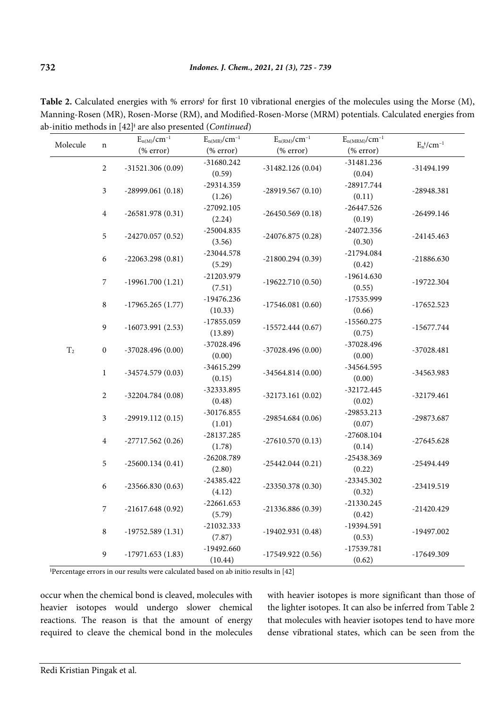|           | $\mathbf n$                    | $E_{n(M)}/cm^{-1}$                       | $E_{n(MR)}/cm^{-1}$                      | $E_{n\left( RM\right) }/cm^{-1}$         | $E_{n(\mathrm{MRM})}/cm^{-1}$            | $E_n^{\,\dagger}\!/cm^{-1}$ |
|-----------|--------------------------------|------------------------------------------|------------------------------------------|------------------------------------------|------------------------------------------|-----------------------------|
| Molecule  |                                | (% error)                                | $(% \mathcal{L}_{0}^{\infty})$ (% error) | (% error)                                | $(% \mathcal{L}_{0}^{\infty})$ (% error) |                             |
|           | $\sqrt{2}$                     | $-31521.306(0.09)$                       | $-31680.242$                             | $-31482.126(0.04)$                       | $-31481.236$                             | -31494.199                  |
|           |                                |                                          | (0.59)                                   |                                          | (0.04)                                   |                             |
|           | $\mathfrak{Z}$                 | $-28999.061(0.18)$                       | -29314.359                               | $-28919.567(0.10)$                       | $-28917.744$                             | -28948.381                  |
|           |                                |                                          | (1.26)                                   |                                          | (0.11)                                   |                             |
|           | $\overline{4}$                 | $-26581.978(0.31)$                       | $-27092.105$                             | $-26450.569(0.18)$                       | $-26447.526$                             | $-26499.146$                |
|           |                                |                                          | (2.24)                                   |                                          | (0.19)                                   |                             |
|           | $\sqrt{5}$                     | $-24270.057(0.52)$                       | $-25004.835$                             | $-24076.875(0.28)$                       | $-24072.356$                             | $-24145.463$                |
|           |                                |                                          | (3.56)                                   |                                          | (0.30)                                   |                             |
|           | $\boldsymbol{6}$               | $-22063.298(0.81)$                       | $-23044.578$                             | $-21800.294(0.39)$<br>$-19622.710(0.50)$ | -21794.084                               | $-21886.630$                |
|           |                                |                                          | (5.29)                                   |                                          | (0.42)                                   |                             |
| $\rm T_2$ | $\boldsymbol{7}$               | $-19961.700(1.21)$                       | -21203.979                               |                                          | $-19614.630$                             | $-19722.304$                |
|           |                                |                                          | (7.51)                                   |                                          | (0.55)                                   |                             |
|           | $\,8\,$                        | $-17965.265(1.77)$                       | $-19476.236$                             | $-17546.081(0.60)$                       | $-17535.999$                             | $-17652.523$                |
|           | $\boldsymbol{9}$               |                                          | (10.33)<br>$-17855.059$                  | $-15572.444(0.67)$                       | (0.66)<br>$-15560.275$                   |                             |
|           |                                | $-16073.991(2.53)$                       | (13.89)                                  |                                          | (0.75)                                   | $-15677.744$                |
|           | $\boldsymbol{0}$               |                                          | $-37028.496$                             |                                          | $-37028.496$                             |                             |
|           |                                | $-37028.496(0.00)$                       | (0.00)                                   | $-37028.496(0.00)$                       | (0.00)                                   | $-37028.481$                |
|           |                                |                                          | $-34615.299$                             |                                          | $-34564.595$                             |                             |
|           | $\,1$                          | $-34574.579(0.03)$                       | (0.15)                                   | $-34564.814(0.00)$                       | (0.00)                                   | -34563.983                  |
|           |                                |                                          | -32333.895                               |                                          | $-32172.445$                             |                             |
|           | $\sqrt{2}$                     | $-32204.784(0.08)$                       | (0.48)                                   | $-32173.161(0.02)$                       | (0.02)                                   | $-32179.461$                |
|           |                                |                                          | $-30176.855$                             |                                          | $-29853.213$                             |                             |
|           | $\mathfrak{Z}$                 | $-29919.112(0.15)$                       | (1.01)                                   | $-29854.684(0.06)$                       | (0.07)                                   | -29873.687                  |
|           | $\overline{4}$                 |                                          | $-28137.285$                             | $-27610.570(0.13)$                       | $-27608.104$                             |                             |
|           |                                | $-27717.562(0.26)$                       | (1.78)                                   |                                          | (0.14)                                   | $-27645.628$                |
|           | 5                              | $-25600.134(0.41)$                       | $-26208.789$                             | $-25442.044(0.21)$                       | -25438.369                               | $-25494.449$                |
|           |                                |                                          | (2.80)                                   |                                          | (0.22)                                   |                             |
|           | $\sqrt{6}$<br>$\boldsymbol{7}$ | $-23566.830(0.63)$<br>$-21617.648(0.92)$ | $-24385.422$                             | $-23350.378(0.30)$<br>$-21336.886(0.39)$ | $-23345.302$                             | -23419.519                  |
|           |                                |                                          | (4.12)                                   |                                          | (0.32)                                   |                             |
|           |                                |                                          | $-22661.653$                             |                                          | $-21330.245$                             | $-21420.429$                |
|           |                                |                                          | (5.79)                                   |                                          | (0.42)                                   |                             |
|           | $\,8\,$                        | $-19752.589(1.31)$                       | $-21032.333$                             | $-19402.931(0.48)$                       | -19394.591                               | -19497.002                  |
|           |                                |                                          | (7.87)                                   |                                          | (0.53)                                   |                             |
|           | $\boldsymbol{9}$               | $-17971.653(1.83)$                       | $-19492.660$                             | $-17549.922(0.56)$                       | $-17539.781$                             | -17649.309                  |
|           |                                |                                          | (10.44)                                  |                                          | (0.62)                                   |                             |

Table 2. Calculated energies with % errors<sup>1</sup> for first 10 vibrational energies of the molecules using the Morse (M), Manning-Rosen (MR), Rosen-Morse (RM), and Modified-Rosen-Morse (MRM) potentials. Calculated energies from ab-initio methods in [42]<sup>ǂ</sup> are also presented (*Continued*)

ƚ Percentage errors in our results were calculated based on ab initio results in [42]

occur when the chemical bond is cleaved, molecules with heavier isotopes would undergo slower chemical reactions. The reason is that the amount of energy required to cleave the chemical bond in the molecules with heavier isotopes is more significant than those of the lighter isotopes. It can also be inferred from Table 2 that molecules with heavier isotopes tend to have more dense vibrational states, which can be seen from the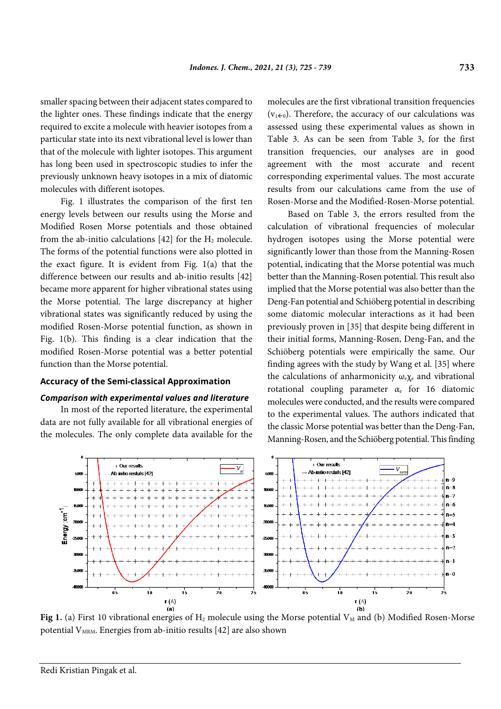smaller spacing between their adjacent states compared to the lighter ones. These findings indicate that the energy required to excite a molecule with heavier isotopes from a particular state into its next vibrational level is lower than that of the molecule with lighter isotopes. This argument has long been used in spectroscopic studies to infer the previously unknown heavy isotopes in a mix of diatomic molecules with different isotopes.

Fig. 1 illustrates the comparison of the first ten energy levels between our results using the Morse and Modified Rosen Morse potentials and those obtained from the ab-initio calculations  $[42]$  for the  $H_2$  molecule. The forms of the potential functions were also plotted in the exact figure. It is evident from Fig. 1(a) that the difference between our results and ab-initio results [42] became more apparent for higher vibrational states using the Morse potential. The large discrepancy at higher vibrational states was significantly reduced by using the modified Rosen-Morse potential function, as shown in Fig. 1(b). This finding is a clear indication that the modified Rosen-Morse potential was a better potential function than the Morse potential.

#### **Accuracy of the Semi-classical Approximation**

#### *Comparison with experimental values and literature*

In most of the reported literature, the experimental data are not fully available for all vibrational energies of the molecules. The only complete data available for the

molecules are the first vibrational transition frequencies  $(v_{1\leftarrow 0})$ . Therefore, the accuracy of our calculations was assessed using these experimental values as shown in Table 3. As can be seen from Table 3, for the first transition frequencies, our analyses are in good agreement with the most accurate and recent corresponding experimental values. The most accurate results from our calculations came from the use of Rosen-Morse and the Modified-Rosen-Morse potential.

Based on Table 3, the errors resulted from the calculation of vibrational frequencies of molecular hydrogen isotopes using the Morse potential were significantly lower than those from the Manning-Rosen potential, indicating that the Morse potential was much better than the Manning-Rosen potential. This result also implied that the Morse potential was also better than the Deng-Fan potential and Schiöberg potential in describing some diatomic molecular interactions as it had been previously proven in [35] that despite being different in their initial forms, Manning-Rosen, Deng-Fan, and the Schiöberg potentials were empirically the same. Our finding agrees with the study by Wang et al. [35] where the calculations of anharmonicity  $\omega_{e} \chi_{e}$  and vibrational rotational coupling parameter  $\alpha_e$  for 16 diatomic molecules were conducted, and the results were compared to the experimental values. The authors indicated that the classic Morse potential was better than the Deng-Fan, Manning-Rosen, and the Schiöberg potential. This finding



Fig 1. (a) First 10 vibrational energies of H<sub>2</sub> molecule using the Morse potential V<sub>M</sub> and (b) Modified Rosen-Morse potential  $V_{MRM}$ . Energies from ab-initio results [42] are also shown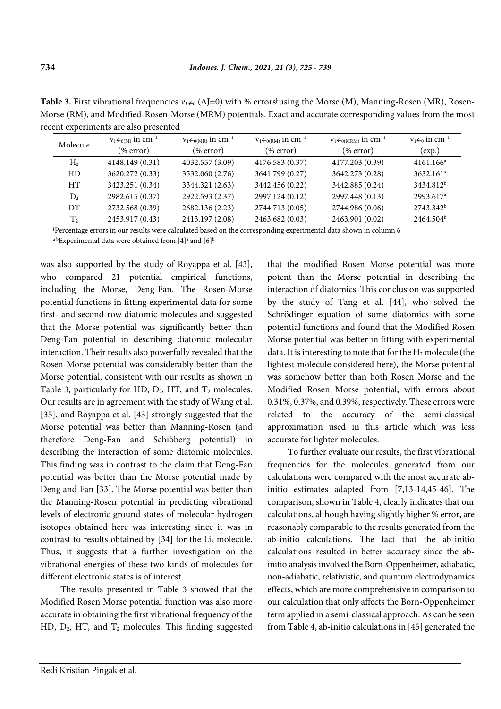| Molecule       | $v_1 \leftarrow_{0(M)} in cm^{-1}$ | $v_1 \leftarrow_{0(MR)} in cm^{-1}$ | $V_1 \leftarrow 0$ (RM) in cm <sup>-1</sup> | $V_1 \leftarrow 0(MRM)$ in cm <sup>-1</sup> | $v_1 \leftarrow 0$ in cm <sup>-1</sup> |
|----------------|------------------------------------|-------------------------------------|---------------------------------------------|---------------------------------------------|----------------------------------------|
|                | % error)                           | % error)                            | % error)                                    | % error)                                    | (exp.)                                 |
| H <sub>2</sub> | 4148.149 (0.31)                    | 4032.557 (3.09)                     | 4176.583 (0.37)                             | 4177.203 (0.39)                             | $4161.166^a$                           |
| HD             | 3620.272 (0.33)                    | 3532.060 (2.76)                     | 3641.799 (0.27)                             | 3642.273 (0.28)                             | $3632.161$ <sup>a</sup>                |
| HТ             | 3423.251 (0.34)                    | 3344.321 (2.63)                     | 3442.456 (0.22)                             | 3442.885 (0.24)                             | 3434.812 <sup>b</sup>                  |
| D <sub>2</sub> | 2982.615 (0.37)                    | 2922.593 (2.37)                     | 2997.124 (0.12)                             | 2997.448 (0.13)                             | 2993.617 <sup>a</sup>                  |
| DT             | 2732.568 (0.39)                    | 2682.136 (2.23)                     | 2744.713 (0.05)                             | 2744.986 (0.06)                             | 2743.342 <sup>b</sup>                  |
| T <sub>2</sub> | 2453.917 (0.43)                    | 2413.197 (2.08)                     | 2463.682 (0.03)                             | 2463.901 (0.02)                             | 2464.504 <sup>b</sup>                  |

**Table 3.** First vibrational frequencies  $v_{1} \in ( \Delta J = 0 )$  with % errors<sup>†</sup> using the Morse (M), Manning-Rosen (MR), Rosen-Morse (RM), and Modified-Rosen-Morse (MRM) potentials. Exact and accurate corresponding values from the most recent experiments are also presented

ƚ Percentage errors in our results were calculated based on the corresponding experimental data shown in column 6

 $^{\rm a\,b}$ Experimental data were obtained from [4] $^{\rm a}$  and [6] $^{\rm b}$ 

was also supported by the study of Royappa et al. [43], who compared 21 potential empirical functions, including the Morse, Deng-Fan. The Rosen-Morse potential functions in fitting experimental data for some first- and second-row diatomic molecules and suggested that the Morse potential was significantly better than Deng-Fan potential in describing diatomic molecular interaction. Their results also powerfully revealed that the Rosen-Morse potential was considerably better than the Morse potential, consistent with our results as shown in Table 3, particularly for HD,  $D_2$ , HT, and  $T_2$  molecules. Our results are in agreement with the study of Wang et al. [35], and Royappa et al. [43] strongly suggested that the Morse potential was better than Manning-Rosen (and therefore Deng-Fan and Schiöberg potential) in describing the interaction of some diatomic molecules. This finding was in contrast to the claim that Deng-Fan potential was better than the Morse potential made by Deng and Fan [33]. The Morse potential was better than the Manning-Rosen potential in predicting vibrational levels of electronic ground states of molecular hydrogen isotopes obtained here was interesting since it was in contrast to results obtained by  $[34]$  for the Li<sub>2</sub> molecule. Thus, it suggests that a further investigation on the vibrational energies of these two kinds of molecules for different electronic states is of interest.

The results presented in Table 3 showed that the Modified Rosen Morse potential function was also more accurate in obtaining the first vibrational frequency of the HD,  $D_2$ , HT, and  $T_2$  molecules. This finding suggested that the modified Rosen Morse potential was more potent than the Morse potential in describing the interaction of diatomics. This conclusion was supported by the study of Tang et al. [44], who solved the Schrödinger equation of some diatomics with some potential functions and found that the Modified Rosen Morse potential was better in fitting with experimental data. It is interesting to note that for the  $H_2$  molecule (the lightest molecule considered here), the Morse potential was somehow better than both Rosen Morse and the Modified Rosen Morse potential, with errors about 0.31%, 0.37%, and 0.39%, respectively. These errors were related to the accuracy of the semi-classical approximation used in this article which was less accurate for lighter molecules.

To further evaluate our results, the first vibrational frequencies for the molecules generated from our calculations were compared with the most accurate abinitio estimates adapted from [7,13-14,45-46]. The comparison, shown in Table 4, clearly indicates that our calculations, although having slightly higher % error, are reasonably comparable to the results generated from the ab-initio calculations. The fact that the ab-initio calculations resulted in better accuracy since the abinitio analysis involved the Born-Oppenheimer, adiabatic, non-adiabatic, relativistic, and quantum electrodynamics effects, which are more comprehensive in comparison to our calculation that only affects the Born-Oppenheimer term applied in a semi-classical approach. As can be seen from Table 4, ab-initio calculations in [45] generated the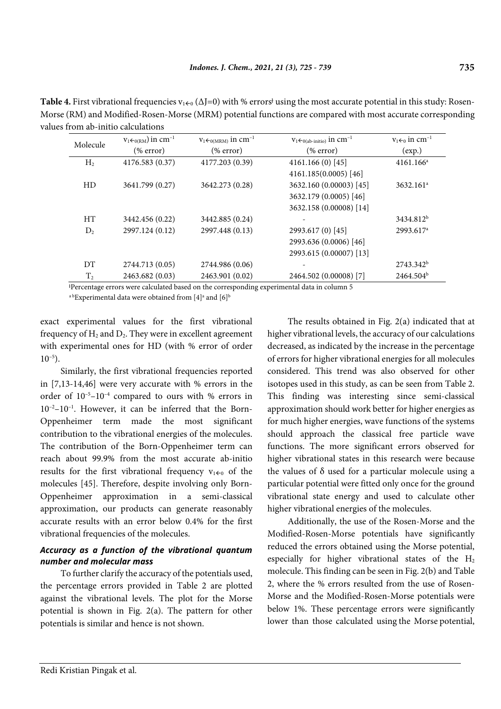| $v_1 \leftarrow_{0(RM})$ in cm <sup>-1</sup><br>$v_1 \leftarrow_{0(MRM)} in cm^{-1}$ |                 | $V_1 \leftarrow 0$ (ab-initio) $\text{in cm}^{-1}$ | $v_1 \leftarrow 0$ in cm <sup>-1</sup> |
|--------------------------------------------------------------------------------------|-----------------|----------------------------------------------------|----------------------------------------|
| (% error)<br>$(\%$ error)                                                            |                 | % error)                                           | (exp.)                                 |
| 4176.583 (0.37)                                                                      | 4177.203 (0.39) | $4161.166(0)$ [45]                                 | $4161.166^a$                           |
|                                                                                      |                 | 4161.185(0.0005) [46]                              |                                        |
| 3641.799 (0.27)                                                                      | 3642.273 (0.28) | 3632.160 (0.00003) [45]                            | $3632.161$ <sup>a</sup>                |
|                                                                                      |                 | 3632.179 (0.0005) [46]                             |                                        |
|                                                                                      |                 | 3632.158 (0.00008) [14]                            |                                        |
| 3442.456 (0.22)                                                                      | 3442.885 (0.24) |                                                    | 3434.812 <sup>b</sup>                  |
| 2997.124 (0.12)                                                                      | 2997.448 (0.13) | 2993.617 (0) [45]                                  | 2993.617 <sup>a</sup>                  |
|                                                                                      |                 | 2993.636 (0.0006) [46]                             |                                        |
|                                                                                      |                 | 2993.615 (0.00007) [13]                            |                                        |
| 2744.713 (0.05)                                                                      | 2744.986 (0.06) |                                                    | $2743.342^b$                           |
| 2463.682 (0.03)                                                                      | 2463.901 (0.02) | 2464.502 (0.00008) [7]                             | $2464.504^b$                           |
|                                                                                      |                 |                                                    |                                        |

**Table 4.** First vibrational frequencies  $v_{1+0}$  ( $\Delta J=0$ ) with % errors<sup>†</sup> using the most accurate potential in this study: Rosen-Morse (RM) and Modified-Rosen-Morse (MRM) potential functions are compared with most accurate corresponding values from ab-initio calculations

ƚ Percentage errors were calculated based on the corresponding experimental data in column 5 <sup>a b</sup>Experimental data were obtained from [4]<sup>a</sup> and [6]<sup>b</sup>

exact experimental values for the first vibrational

frequency of  $H_2$  and  $D_2$ . They were in excellent agreement with experimental ones for HD (with % error of order  $10^{-5}$ ).

Similarly, the first vibrational frequencies reported in [7,13-14,46] were very accurate with % errors in the order of  $10^{-5}$ - $10^{-4}$  compared to ours with % errors in  $10^{-2}-10^{-1}$ . However, it can be inferred that the Born-Oppenheimer term made the most significant contribution to the vibrational energies of the molecules. The contribution of the Born-Oppenheimer term can reach about 99.9% from the most accurate ab-initio results for the first vibrational frequency  $v_{100}$  of the molecules [45]. Therefore, despite involving only Born-Oppenheimer approximation in a semi-classical approximation, our products can generate reasonably accurate results with an error below 0.4% for the first vibrational frequencies of the molecules.

# *Accuracy as a function of the vibrational quantum number and molecular mass*

To further clarify the accuracy of the potentials used, the percentage errors provided in Table 2 are plotted against the vibrational levels. The plot for the Morse potential is shown in Fig. 2(a). The pattern for other potentials is similar and hence is not shown.

The results obtained in Fig. 2(a) indicated that at higher vibrational levels, the accuracy of our calculations decreased, as indicated by the increase in the percentage of errors for higher vibrational energies for all molecules considered. This trend was also observed for other isotopes used in this study, as can be seen from Table 2. This finding was interesting since semi-classical approximation should work better for higher energies as for much higher energies, wave functions of the systems should approach the classical free particle wave functions. The more significant errors observed for higher vibrational states in this research were because the values of  $\delta$  used for a particular molecule using a particular potential were fitted only once for the ground vibrational state energy and used to calculate other higher vibrational energies of the molecules.

Additionally, the use of the Rosen-Morse and the Modified-Rosen-Morse potentials have significantly reduced the errors obtained using the Morse potential, especially for higher vibrational states of the  $H_2$ molecule. This finding can be seen in Fig. 2(b) and Table 2, where the % errors resulted from the use of Rosen-Morse and the Modified-Rosen-Morse potentials were below 1%. These percentage errors were significantly lower than those calculated using the Morse potential,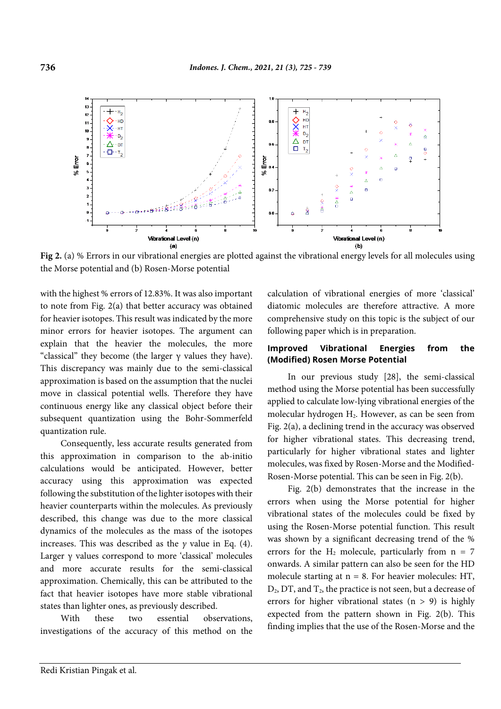

**Fig 2.** (a) % Errors in our vibrational energies are plotted against the vibrational energy levels for all molecules using the Morse potential and (b) Rosen-Morse potential

with the highest % errors of 12.83%. It was also important to note from Fig. 2(a) that better accuracy was obtained for heavier isotopes. This result was indicated by the more minor errors for heavier isotopes. The argument can explain that the heavier the molecules, the more "classical" they become (the larger  $\gamma$  values they have). This discrepancy was mainly due to the semi-classical approximation is based on the assumption that the nuclei move in classical potential wells. Therefore they have continuous energy like any classical object before their subsequent quantization using the Bohr-Sommerfeld quantization rule.

Consequently, less accurate results generated from this approximation in comparison to the ab-initio calculations would be anticipated. However, better accuracy using this approximation was expected following the substitution of the lighter isotopes with their heavier counterparts within the molecules. As previously described, this change was due to the more classical dynamics of the molecules as the mass of the isotopes increases. This was described as the *γ* value in Eq. (4). Larger γ values correspond to more 'classical' molecules and more accurate results for the semi-classical approximation. Chemically, this can be attributed to the fact that heavier isotopes have more stable vibrational states than lighter ones, as previously described.

With these two essential observations, investigations of the accuracy of this method on the calculation of vibrational energies of more 'classical' diatomic molecules are therefore attractive. A more comprehensive study on this topic is the subject of our following paper which is in preparation.

### **Improved Vibrational Energies from the (Modified) Rosen Morse Potential**

In our previous study [28], the semi-classical method using the Morse potential has been successfully applied to calculate low-lying vibrational energies of the molecular hydrogen H2. However, as can be seen from Fig. 2(a), a declining trend in the accuracy was observed for higher vibrational states. This decreasing trend, particularly for higher vibrational states and lighter molecules, was fixed by Rosen-Morse and the Modified-Rosen-Morse potential. This can be seen in Fig. 2(b).

Fig. 2(b) demonstrates that the increase in the errors when using the Morse potential for higher vibrational states of the molecules could be fixed by using the Rosen-Morse potential function. This result was shown by a significant decreasing trend of the % errors for the  $H_2$  molecule, particularly from  $n = 7$ onwards. A similar pattern can also be seen for the HD molecule starting at  $n = 8$ . For heavier molecules: HT,  $D_2$ , DT, and  $T_2$ , the practice is not seen, but a decrease of errors for higher vibrational states  $(n > 9)$  is highly expected from the pattern shown in Fig. 2(b). This finding implies that the use of the Rosen-Morse and the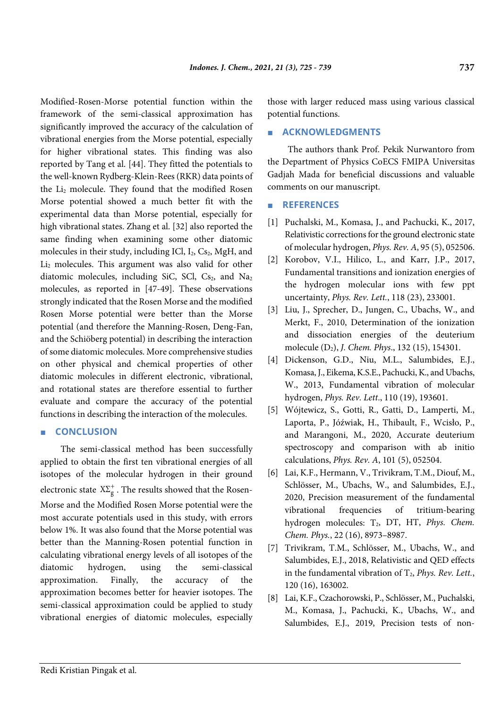Modified-Rosen-Morse potential function within the framework of the semi-classical approximation has significantly improved the accuracy of the calculation of vibrational energies from the Morse potential, especially for higher vibrational states. This finding was also reported by Tang et al. [44]. They fitted the potentials to the well-known Rydberg-Klein-Rees (RKR) data points of the Li2 molecule. They found that the modified Rosen Morse potential showed a much better fit with the experimental data than Morse potential, especially for high vibrational states. Zhang et al. [32] also reported the same finding when examining some other diatomic molecules in their study, including ICl,  $I_2$ ,  $Cs_2$ , MgH, and  $Li<sub>2</sub>$  molecules. This argument was also valid for other diatomic molecules, including SiC, SCl,  $Cs<sub>2</sub>$ , and  $Na<sub>2</sub>$ molecules, as reported in [47-49]. These observations strongly indicated that the Rosen Morse and the modified Rosen Morse potential were better than the Morse potential (and therefore the Manning-Rosen, Deng-Fan, and the Schiöberg potential) in describing the interaction of some diatomic molecules. More comprehensive studies on other physical and chemical properties of other diatomic molecules in different electronic, vibrational, and rotational states are therefore essential to further evaluate and compare the accuracy of the potential functions in describing the interaction of the molecules.

### ■ **CONCLUSION**

The semi-classical method has been successfully applied to obtain the first ten vibrational energies of all isotopes of the molecular hydrogen in their ground electronic state  $X\Sigma_{\rm g}^+$  . The results showed that the Rosen-Morse and the Modified Rosen Morse potential were the most accurate potentials used in this study, with errors below 1%. It was also found that the Morse potential was better than the Manning-Rosen potential function in calculating vibrational energy levels of all isotopes of the diatomic hydrogen, using the semi-classical approximation. Finally, the accuracy of the approximation becomes better for heavier isotopes. The semi-classical approximation could be applied to study vibrational energies of diatomic molecules, especially those with larger reduced mass using various classical potential functions.

### ■ **ACKNOWLEDGMENTS**

The authors thank Prof. Pekik Nurwantoro from the Department of Physics CoECS FMIPA Universitas Gadjah Mada for beneficial discussions and valuable comments on our manuscript.

#### ■ **REFERENCES**

- [1] Puchalski, M., Komasa, J., and Pachucki, K., 2017, Relativistic corrections for the ground electronic state of molecular hydrogen, *Phys. Rev. A*, 95 (5), 052506.
- [2] Korobov, V.I., Hilico, L., and Karr, J.P., 2017, Fundamental transitions and ionization energies of the hydrogen molecular ions with few ppt uncertainty, *Phys. Rev. Lett.*, 118 (23), 233001.
- [3] Liu, J., Sprecher, D., Jungen, C., Ubachs, W., and Merkt, F., 2010, Determination of the ionization and dissociation energies of the deuterium molecule (D2), *J. Chem. Phys*., 132 (15), 154301.
- [4] Dickenson, G.D., Niu, M.L., Salumbides, E.J., Komasa, J., Eikema, K.S.E., Pachucki, K., and Ubachs, W., 2013, Fundamental vibration of molecular hydrogen, *Phys. Rev. Lett*., 110 (19), 193601.
- [5] Wójtewicz, S., Gotti, R., Gatti, D., Lamperti, M., Laporta, P., Jóźwiak, H., Thibault, F., Wcisło, P., and Marangoni, M., 2020, Accurate deuterium spectroscopy and comparison with ab initio calculations, *Phys. Rev. A*, 101 (5), 052504.
- [6] Lai, K.F., Hermann, V., Trivikram, T.M., Diouf, M., Schlösser, M., Ubachs, W., and Salumbides, E.J., 2020, Precision measurement of the fundamental vibrational frequencies of tritium-bearing hydrogen molecules: T<sub>2</sub>, DT, HT, *Phys. Chem. Chem. Phys.*, 22 (16), 8973–8987.
- [7] Trivikram, T.M., Schlösser, M., Ubachs, W., and Salumbides, E.J., 2018, Relativistic and QED effects in the fundamental vibration of  $T_2$ , *Phys. Rev. Lett.*, 120 (16), 163002.
- [8] Lai, K.F., Czachorowski, P., Schlösser, M., Puchalski, M., Komasa, J., Pachucki, K., Ubachs, W., and Salumbides, E.J., 2019, Precision tests of non-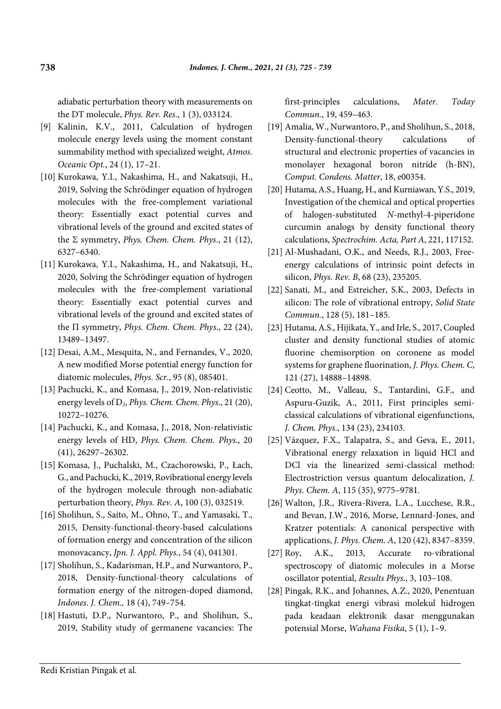adiabatic perturbation theory with measurements on the DT molecule, *Phys. Rev. Res*., 1 (3), 033124.

- [9] Kalinin, K.V., 2011, Calculation of hydrogen molecule energy levels using the moment constant summability method with specialized weight, *Atmos. Oceanic Opt.*, 24 (1), 17–21.
- [10] Kurokawa, Y.I., Nakashima, H., and Nakatsuji, H., 2019, Solving the Schrödinger equation of hydrogen molecules with the free-complement variational theory: Essentially exact potential curves and vibrational levels of the ground and excited states of the Σ symmetry, *Phys. Chem. Chem. Phys*., 21 (12), 6327–6340.
- [11] Kurokawa, Y.I., Nakashima, H., and Nakatsuji, H., 2020, Solving the Schrödinger equation of hydrogen molecules with the free-complement variational theory: Essentially exact potential curves and vibrational levels of the ground and excited states of the Π symmetry, *Phys. Chem. Chem. Phys*., 22 (24), 13489–13497.
- [12] Desai, A.M., Mesquita, N., and Fernandes, V., 2020, A new modified Morse potential energy function for diatomic molecules, *Phys. Scr.*, 95 (8), 085401.
- [13] Pachucki, K., and Komasa, J., 2019, Non-relativistic energy levels of D<sub>2</sub>, *Phys. Chem. Chem. Phys.*, 21 (20), 10272–10276.
- [14] Pachucki, K., and Komasa, J., 2018, Non-relativistic energy levels of HD, *Phys. Chem. Chem. Phys*., 20 (41), 26297–26302.
- [15] Komasa, J., Puchalski, M., Czachorowski, P., Łach, G., and Pachucki, K., 2019, Rovibrational energy levels of the hydrogen molecule through non-adiabatic perturbation theory, *Phys. Rev. A*, 100 (3), 032519.
- [16] Sholihun, S., Saito, M., Ohno, T., and Yamasaki, T., 2015, Density-functional-theory-based calculations of formation energy and concentration of the silicon monovacancy, *Jpn. J. Appl. Phys.*, 54 (4), 041301.
- [17] Sholihun, S., Kadarisman, H.P., and Nurwantoro, P., 2018, Density-functional-theory calculations of formation energy of the nitrogen-doped diamond, *Indones. J. Chem.,* 18 (4), 749–754.
- [18] Hastuti, D.P., Nurwantoro, P., and Sholihun, S., 2019, Stability study of germanene vacancies: The

first-principles calculations, *Mater. Today Commun.*, 19, 459–463.

- [19] Amalia, W., Nurwantoro, P., and Sholihun, S., 2018, Density-functional-theory calculations of structural and electronic properties of vacancies in monolayer hexagonal boron nitride (h-BN), *Comput. Condens. Matter*, 18, e00354.
- [20] Hutama, A.S., Huang, H., and Kurniawan, Y.S., 2019, Investigation of the chemical and optical properties of halogen-substituted *N*-methyl-4-piperidone curcumin analogs by density functional theory calculations, *Spectrochim. Acta, Part A*, 221, 117152.
- [21] Al-Mushadani, O.K., and Needs, R.J., 2003, Freeenergy calculations of intrinsic point defects in silicon, *Phys. Rev. B*, 68 (23), 235205.
- [22] Sanati, M., and Estreicher, S.K., 2003, Defects in silicon: The role of vibrational entropy, *Solid State Commun.*, 128 (5), 181–185.
- [23] Hutama, A.S., Hijikata, Y., and Irle, S., 2017, Coupled cluster and density functional studies of atomic fluorine chemisorption on coronene as model systems for graphene fluorination, *J. Phys. Chem. C*, 121 (27), 14888–14898.
- [24] Ceotto, M., Valleau, S., Tantardini, G.F., and Aspuru-Guzik, A., 2011, First principles semiclassical calculations of vibrational eigenfunctions, *J. Chem. Phys*., 134 (23), 234103.
- [25] Vázquez, F.X., Talapatra, S., and Geva, E., 2011, Vibrational energy relaxation in liquid HCl and DCl via the linearized semi-classical method: Electrostriction versus quantum delocalization, *J. Phys. Chem. A*, 115 (35), 9775–9781.
- [26] Walton, J.R., Rivera-Rivera, L.A., Lucchese, R.R., and Bevan, J.W., 2016, Morse, Lennard-Jones, and Kratzer potentials: A canonical perspective with applications, *J. Phys. Chem. A*, 120 (42), 8347–8359.
- [27] Roy, A.K., 2013, Accurate ro-vibrational spectroscopy of diatomic molecules in a Morse oscillator potential, *Results Phys.*, 3, 103–108.
- [28] Pingak, R.K., and Johannes, A.Z., 2020, Penentuan tingkat-tingkat energi vibrasi molekul hidrogen pada keadaan elektronik dasar menggunakan potensial Morse, *Wahana Fisika*, 5 (1), 1–9.